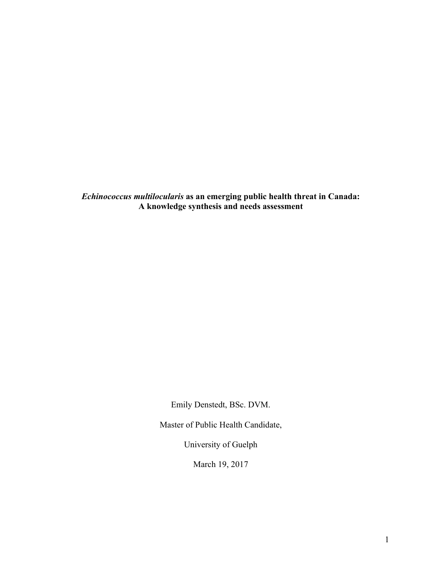*Echinococcus multilocularis* **as an emerging public health threat in Canada: A knowledge synthesis and needs assessment**

Emily Denstedt, BSc. DVM.

Master of Public Health Candidate,

University of Guelph

March 19, 2017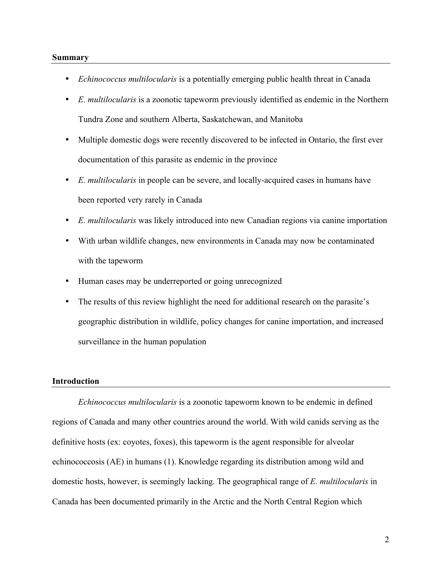#### **Summary**

- *Echinococcus multilocularis* is a potentially emerging public health threat in Canada
- *E. multilocularis* is a zoonotic tapeworm previously identified as endemic in the Northern Tundra Zone and southern Alberta, Saskatchewan, and Manitoba
- Multiple domestic dogs were recently discovered to be infected in Ontario, the first ever documentation of this parasite as endemic in the province
- *E. multilocularis* in people can be severe, and locally-acquired cases in humans have been reported very rarely in Canada
- *E. multilocularis* was likely introduced into new Canadian regions via canine importation
- With urban wildlife changes, new environments in Canada may now be contaminated with the tapeworm
- Human cases may be underreported or going unrecognized
- The results of this review highlight the need for additional research on the parasite's geographic distribution in wildlife, policy changes for canine importation, and increased surveillance in the human population

# **Introduction**

*Echinococcus multilocularis* is a zoonotic tapeworm known to be endemic in defined regions of Canada and many other countries around the world. With wild canids serving as the definitive hosts (ex: coyotes, foxes), this tapeworm is the agent responsible for alveolar echinococcosis (AE) in humans (1). Knowledge regarding its distribution among wild and domestic hosts, however, is seemingly lacking. The geographical range of *E. multilocularis* in Canada has been documented primarily in the Arctic and the North Central Region which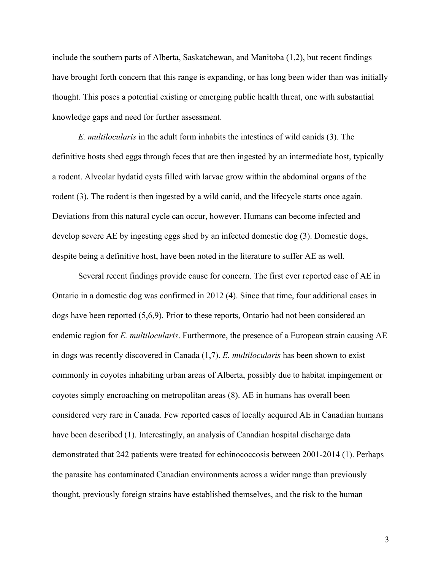include the southern parts of Alberta, Saskatchewan, and Manitoba (1,2), but recent findings have brought forth concern that this range is expanding, or has long been wider than was initially thought. This poses a potential existing or emerging public health threat, one with substantial knowledge gaps and need for further assessment.

*E. multilocularis* in the adult form inhabits the intestines of wild canids (3). The definitive hosts shed eggs through feces that are then ingested by an intermediate host, typically a rodent. Alveolar hydatid cysts filled with larvae grow within the abdominal organs of the rodent (3). The rodent is then ingested by a wild canid, and the lifecycle starts once again. Deviations from this natural cycle can occur, however. Humans can become infected and develop severe AE by ingesting eggs shed by an infected domestic dog (3). Domestic dogs, despite being a definitive host, have been noted in the literature to suffer AE as well.

Several recent findings provide cause for concern. The first ever reported case of AE in Ontario in a domestic dog was confirmed in 2012 (4). Since that time, four additional cases in dogs have been reported (5,6,9). Prior to these reports, Ontario had not been considered an endemic region for *E. multilocularis*. Furthermore, the presence of a European strain causing AE in dogs was recently discovered in Canada (1,7). *E. multilocularis* has been shown to exist commonly in coyotes inhabiting urban areas of Alberta, possibly due to habitat impingement or coyotes simply encroaching on metropolitan areas (8). AE in humans has overall been considered very rare in Canada. Few reported cases of locally acquired AE in Canadian humans have been described (1). Interestingly, an analysis of Canadian hospital discharge data demonstrated that 242 patients were treated for echinococcosis between 2001-2014 (1). Perhaps the parasite has contaminated Canadian environments across a wider range than previously thought, previously foreign strains have established themselves, and the risk to the human

3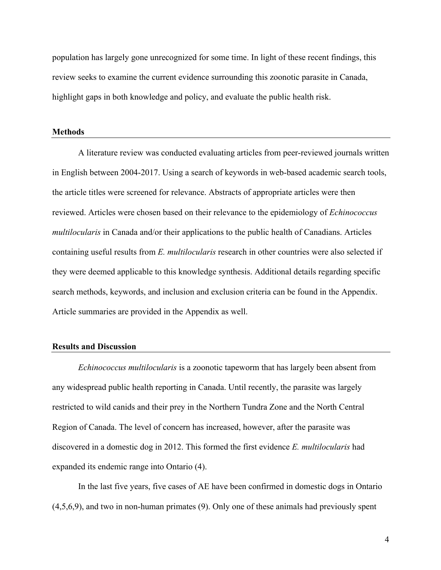population has largely gone unrecognized for some time. In light of these recent findings, this review seeks to examine the current evidence surrounding this zoonotic parasite in Canada, highlight gaps in both knowledge and policy, and evaluate the public health risk.

#### **Methods**

A literature review was conducted evaluating articles from peer-reviewed journals written in English between 2004-2017. Using a search of keywords in web-based academic search tools, the article titles were screened for relevance. Abstracts of appropriate articles were then reviewed. Articles were chosen based on their relevance to the epidemiology of *Echinococcus multilocularis* in Canada and/or their applications to the public health of Canadians. Articles containing useful results from *E. multilocularis* research in other countries were also selected if they were deemed applicable to this knowledge synthesis. Additional details regarding specific search methods, keywords, and inclusion and exclusion criteria can be found in the Appendix. Article summaries are provided in the Appendix as well.

## **Results and Discussion**

*Echinococcus multilocularis* is a zoonotic tapeworm that has largely been absent from any widespread public health reporting in Canada. Until recently, the parasite was largely restricted to wild canids and their prey in the Northern Tundra Zone and the North Central Region of Canada. The level of concern has increased, however, after the parasite was discovered in a domestic dog in 2012. This formed the first evidence *E. multilocularis* had expanded its endemic range into Ontario (4).

In the last five years, five cases of AE have been confirmed in domestic dogs in Ontario (4,5,6,9), and two in non-human primates (9). Only one of these animals had previously spent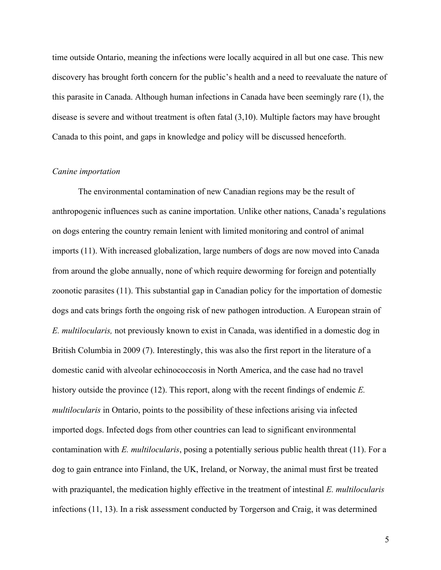time outside Ontario, meaning the infections were locally acquired in all but one case. This new discovery has brought forth concern for the public's health and a need to reevaluate the nature of this parasite in Canada. Although human infections in Canada have been seemingly rare (1), the disease is severe and without treatment is often fatal (3,10). Multiple factors may have brought Canada to this point, and gaps in knowledge and policy will be discussed henceforth.

### *Canine importation*

The environmental contamination of new Canadian regions may be the result of anthropogenic influences such as canine importation. Unlike other nations, Canada's regulations on dogs entering the country remain lenient with limited monitoring and control of animal imports (11). With increased globalization, large numbers of dogs are now moved into Canada from around the globe annually, none of which require deworming for foreign and potentially zoonotic parasites (11). This substantial gap in Canadian policy for the importation of domestic dogs and cats brings forth the ongoing risk of new pathogen introduction. A European strain of *E. multilocularis,* not previously known to exist in Canada, was identified in a domestic dog in British Columbia in 2009 (7). Interestingly, this was also the first report in the literature of a domestic canid with alveolar echinococcosis in North America, and the case had no travel history outside the province (12). This report, along with the recent findings of endemic *E. multilocularis* in Ontario, points to the possibility of these infections arising via infected imported dogs. Infected dogs from other countries can lead to significant environmental contamination with *E. multilocularis*, posing a potentially serious public health threat (11). For a dog to gain entrance into Finland, the UK, Ireland, or Norway, the animal must first be treated with praziquantel, the medication highly effective in the treatment of intestinal *E. multilocularis*  infections (11, 13). In a risk assessment conducted by Torgerson and Craig, it was determined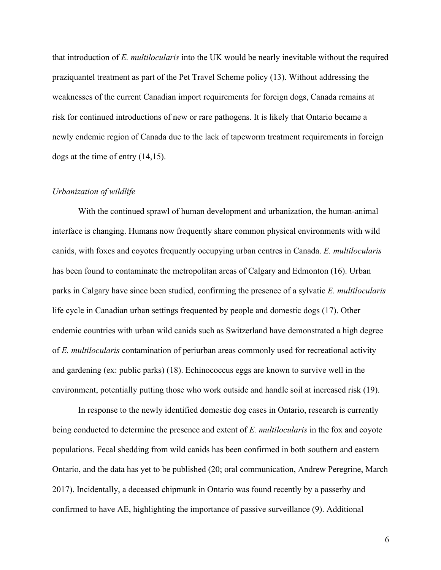that introduction of *E. multilocularis* into the UK would be nearly inevitable without the required praziquantel treatment as part of the Pet Travel Scheme policy (13). Without addressing the weaknesses of the current Canadian import requirements for foreign dogs, Canada remains at risk for continued introductions of new or rare pathogens. It is likely that Ontario became a newly endemic region of Canada due to the lack of tapeworm treatment requirements in foreign dogs at the time of entry (14,15).

### *Urbanization of wildlife*

With the continued sprawl of human development and urbanization, the human-animal interface is changing. Humans now frequently share common physical environments with wild canids, with foxes and coyotes frequently occupying urban centres in Canada. *E. multilocularis* has been found to contaminate the metropolitan areas of Calgary and Edmonton (16). Urban parks in Calgary have since been studied, confirming the presence of a sylvatic *E. multilocularis* life cycle in Canadian urban settings frequented by people and domestic dogs (17). Other endemic countries with urban wild canids such as Switzerland have demonstrated a high degree of *E. multilocularis* contamination of periurban areas commonly used for recreational activity and gardening (ex: public parks) (18). Echinococcus eggs are known to survive well in the environment, potentially putting those who work outside and handle soil at increased risk (19).

In response to the newly identified domestic dog cases in Ontario, research is currently being conducted to determine the presence and extent of *E. multilocularis* in the fox and coyote populations. Fecal shedding from wild canids has been confirmed in both southern and eastern Ontario, and the data has yet to be published (20; oral communication, Andrew Peregrine, March 2017). Incidentally, a deceased chipmunk in Ontario was found recently by a passerby and confirmed to have AE, highlighting the importance of passive surveillance (9). Additional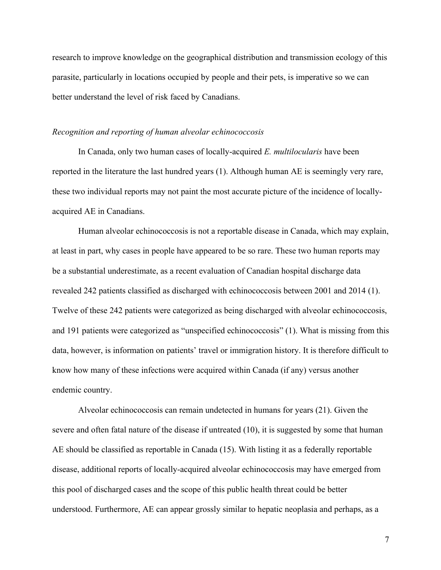research to improve knowledge on the geographical distribution and transmission ecology of this parasite, particularly in locations occupied by people and their pets, is imperative so we can better understand the level of risk faced by Canadians.

### *Recognition and reporting of human alveolar echinococcosis*

In Canada, only two human cases of locally-acquired *E. multilocularis* have been reported in the literature the last hundred years (1). Although human AE is seemingly very rare, these two individual reports may not paint the most accurate picture of the incidence of locallyacquired AE in Canadians.

Human alveolar echinococcosis is not a reportable disease in Canada, which may explain, at least in part, why cases in people have appeared to be so rare. These two human reports may be a substantial underestimate, as a recent evaluation of Canadian hospital discharge data revealed 242 patients classified as discharged with echinococcosis between 2001 and 2014 (1). Twelve of these 242 patients were categorized as being discharged with alveolar echinococcosis, and 191 patients were categorized as "unspecified echinococcosis" (1). What is missing from this data, however, is information on patients' travel or immigration history. It is therefore difficult to know how many of these infections were acquired within Canada (if any) versus another endemic country.

Alveolar echinococcosis can remain undetected in humans for years (21). Given the severe and often fatal nature of the disease if untreated (10), it is suggested by some that human AE should be classified as reportable in Canada (15). With listing it as a federally reportable disease, additional reports of locally-acquired alveolar echinococcosis may have emerged from this pool of discharged cases and the scope of this public health threat could be better understood. Furthermore, AE can appear grossly similar to hepatic neoplasia and perhaps, as a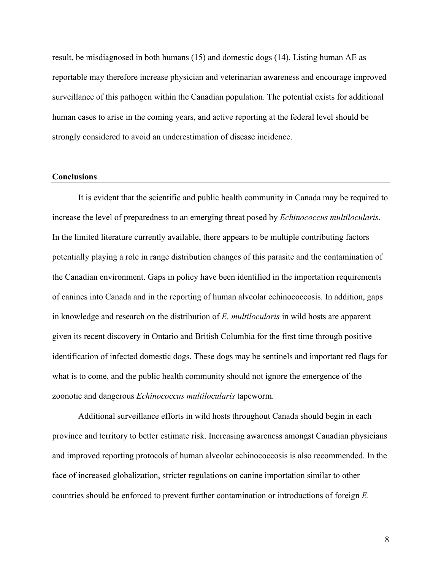result, be misdiagnosed in both humans (15) and domestic dogs (14). Listing human AE as reportable may therefore increase physician and veterinarian awareness and encourage improved surveillance of this pathogen within the Canadian population. The potential exists for additional human cases to arise in the coming years, and active reporting at the federal level should be strongly considered to avoid an underestimation of disease incidence.

### **Conclusions**

It is evident that the scientific and public health community in Canada may be required to increase the level of preparedness to an emerging threat posed by *Echinococcus multilocularis*. In the limited literature currently available, there appears to be multiple contributing factors potentially playing a role in range distribution changes of this parasite and the contamination of the Canadian environment. Gaps in policy have been identified in the importation requirements of canines into Canada and in the reporting of human alveolar echinococcosis. In addition, gaps in knowledge and research on the distribution of *E. multilocularis* in wild hosts are apparent given its recent discovery in Ontario and British Columbia for the first time through positive identification of infected domestic dogs. These dogs may be sentinels and important red flags for what is to come, and the public health community should not ignore the emergence of the zoonotic and dangerous *Echinococcus multilocularis* tapeworm.

Additional surveillance efforts in wild hosts throughout Canada should begin in each province and territory to better estimate risk. Increasing awareness amongst Canadian physicians and improved reporting protocols of human alveolar echinococcosis is also recommended. In the face of increased globalization, stricter regulations on canine importation similar to other countries should be enforced to prevent further contamination or introductions of foreign *E.* 

8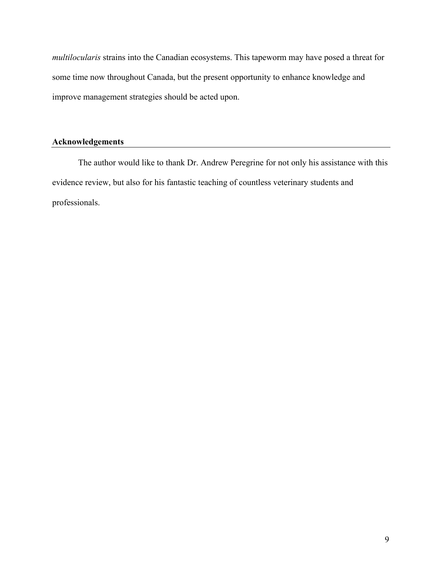*multilocularis* strains into the Canadian ecosystems. This tapeworm may have posed a threat for some time now throughout Canada, but the present opportunity to enhance knowledge and improve management strategies should be acted upon.

# **Acknowledgements**

The author would like to thank Dr. Andrew Peregrine for not only his assistance with this evidence review, but also for his fantastic teaching of countless veterinary students and professionals.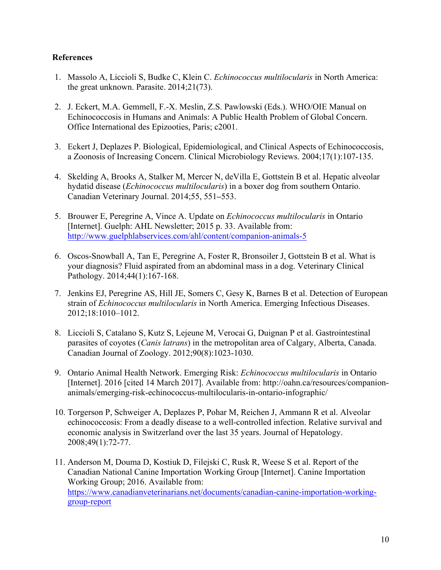# **References**

- 1. Massolo A, Liccioli S, Budke C, Klein C. *Echinococcus multilocularis* in North America: the great unknown. Parasite. 2014;21(73).
- 2. J. Eckert, M.A. Gemmell, F.-X. Meslin, Z.S. Pawlowski (Eds.). WHO/OIE Manual on Echinococcosis in Humans and Animals: A Public Health Problem of Global Concern. Office International des Epizooties, Paris; c2001.
- 3. Eckert J, Deplazes P. Biological, Epidemiological, and Clinical Aspects of Echinococcosis, a Zoonosis of Increasing Concern. Clinical Microbiology Reviews. 2004;17(1):107-135.
- 4. Skelding A, Brooks A, Stalker M, Mercer N, deVilla E, Gottstein B et al. Hepatic alveolar hydatid disease (*Echinococcus multilocularis*) in a boxer dog from southern Ontario. Canadian Veterinary Journal. 2014;55, 551**–**553.
- 5. Brouwer E, Peregrine A, Vince A. Update on *Echinococcus multilocularis* in Ontario [Internet]. Guelph: AHL Newsletter; 2015 p. 33. Available from: http://www.guelphlabservices.com/ahl/content/companion-animals-5
- 6. Oscos-Snowball A, Tan E, Peregrine A, Foster R, Bronsoiler J, Gottstein B et al. What is your diagnosis? Fluid aspirated from an abdominal mass in a dog. Veterinary Clinical Pathology. 2014;44(1):167-168.
- 7. Jenkins EJ, Peregrine AS, Hill JE, Somers C, Gesy K, Barnes B et al. Detection of European strain of *Echinococcus multilocularis* in North America. Emerging Infectious Diseases. 2012;18:1010–1012.
- 8. Liccioli S, Catalano S, Kutz S, Lejeune M, Verocai G, Duignan P et al. Gastrointestinal parasites of coyotes (*Canis latrans*) in the metropolitan area of Calgary, Alberta, Canada. Canadian Journal of Zoology. 2012;90(8):1023-1030.
- 9. Ontario Animal Health Network. Emerging Risk: *Echinococcus multilocularis* in Ontario [Internet]. 2016 [cited 14 March 2017]. Available from: http://oahn.ca/resources/companionanimals/emerging-risk-echinococcus-multilocularis-in-ontario-infographic/
- 10. Torgerson P, Schweiger A, Deplazes P, Pohar M, Reichen J, Ammann R et al. Alveolar echinococcosis: From a deadly disease to a well-controlled infection. Relative survival and economic analysis in Switzerland over the last 35 years. Journal of Hepatology. 2008;49(1):72-77.
- 11. Anderson M, Douma D, Kostiuk D, Filejski C, Rusk R, Weese S et al. Report of the Canadian National Canine Importation Working Group [Internet]. Canine Importation Working Group; 2016. Available from: https://www.canadianveterinarians.net/documents/canadian-canine-importation-workinggroup-report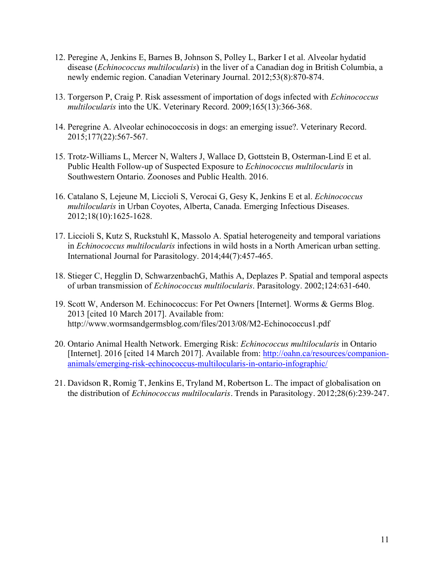- 12. Peregine A, Jenkins E, Barnes B, Johnson S, Polley L, Barker I et al. Alveolar hydatid disease (*Echinococcus multilocularis*) in the liver of a Canadian dog in British Columbia, a newly endemic region. Canadian Veterinary Journal. 2012;53(8):870-874.
- 13. Torgerson P, Craig P. Risk assessment of importation of dogs infected with *Echinococcus multilocularis* into the UK. Veterinary Record. 2009;165(13):366-368.
- 14. Peregrine A. Alveolar echinococcosis in dogs: an emerging issue?. Veterinary Record. 2015;177(22):567-567.
- 15. Trotz-Williams L, Mercer N, Walters J, Wallace D, Gottstein B, Osterman-Lind E et al. Public Health Follow-up of Suspected Exposure to *Echinococcus multilocularis* in Southwestern Ontario. Zoonoses and Public Health. 2016.
- 16. Catalano S, Lejeune M, Liccioli S, Verocai G, Gesy K, Jenkins E et al. *Echinococcus multilocularis* in Urban Coyotes, Alberta, Canada. Emerging Infectious Diseases. 2012;18(10):1625-1628.
- 17. Liccioli S, Kutz S, Ruckstuhl K, Massolo A. Spatial heterogeneity and temporal variations in *Echinococcus multilocularis* infections in wild hosts in a North American urban setting. International Journal for Parasitology. 2014;44(7):457-465.
- 18. Stieger C, Hegglin D, SchwarzenbachG, Mathis A, Deplazes P. Spatial and temporal aspects of urban transmission of *Echinococcus multilocularis*. Parasitology. 2002;124:631-640.
- 19. Scott W, Anderson M. Echinococcus: For Pet Owners [Internet]. Worms & Germs Blog. 2013 [cited 10 March 2017]. Available from: http://www.wormsandgermsblog.com/files/2013/08/M2-Echinococcus1.pdf
- 20. Ontario Animal Health Network. Emerging Risk: *Echinococcus multilocularis* in Ontario [Internet]. 2016 [cited 14 March 2017]. Available from: http://oahn.ca/resources/companionanimals/emerging-risk-echinococcus-multilocularis-in-ontario-infographic/
- 21. Davidson R, Romig T, Jenkins E, Tryland M, Robertson L. The impact of globalisation on the distribution of *Echinococcus multilocularis*. Trends in Parasitology. 2012;28(6):239-247.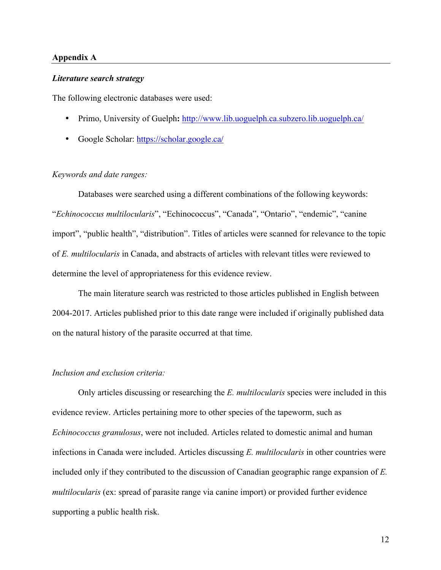### **Appendix A**

#### *Literature search strategy*

The following electronic databases were used:

- Primo, University of Guelph**:** http://www.lib.uoguelph.ca.subzero.lib.uoguelph.ca/
- Google Scholar: https://scholar.google.ca/

# *Keywords and date ranges:*

Databases were searched using a different combinations of the following keywords: "*Echinococcus multilocularis*", "Echinococcus", "Canada", "Ontario", "endemic", "canine import", "public health", "distribution". Titles of articles were scanned for relevance to the topic of *E. multilocularis* in Canada, and abstracts of articles with relevant titles were reviewed to determine the level of appropriateness for this evidence review.

The main literature search was restricted to those articles published in English between 2004-2017. Articles published prior to this date range were included if originally published data on the natural history of the parasite occurred at that time.

# *Inclusion and exclusion criteria:*

Only articles discussing or researching the *E. multilocularis* species were included in this evidence review. Articles pertaining more to other species of the tapeworm, such as *Echinococcus granulosus*, were not included. Articles related to domestic animal and human infections in Canada were included. Articles discussing *E. multilocularis* in other countries were included only if they contributed to the discussion of Canadian geographic range expansion of *E. multilocularis* (ex: spread of parasite range via canine import) or provided further evidence supporting a public health risk.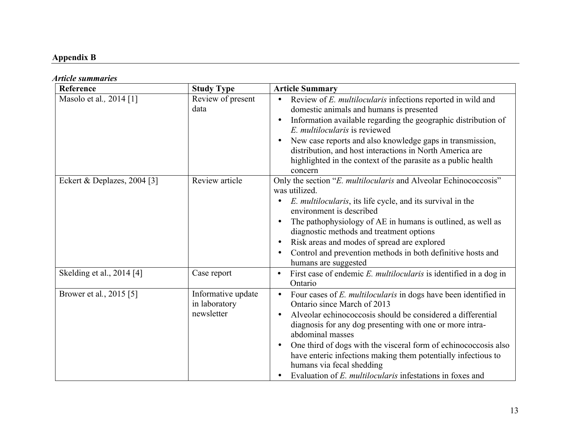# **Appendix B**

# *Article summaries*

| Reference                   | <b>Study Type</b>                                 | <b>Article Summary</b>                                                                                                                                                                                                                                                                                                                                                                                                                                                                                                          |
|-----------------------------|---------------------------------------------------|---------------------------------------------------------------------------------------------------------------------------------------------------------------------------------------------------------------------------------------------------------------------------------------------------------------------------------------------------------------------------------------------------------------------------------------------------------------------------------------------------------------------------------|
| Masolo et al., 2014 [1]     | Review of present<br>data                         | Review of E. multilocularis infections reported in wild and<br>$\bullet$<br>domestic animals and humans is presented<br>Information available regarding the geographic distribution of<br>$\bullet$<br>E. multilocularis is reviewed<br>New case reports and also knowledge gaps in transmission,<br>$\bullet$<br>distribution, and host interactions in North America are<br>highlighted in the context of the parasite as a public health<br>concern                                                                          |
| Eckert & Deplazes, 2004 [3] | Review article                                    | Only the section "E. multilocularis and Alveolar Echinococcosis"<br>was utilized.<br><i>E. multilocularis</i> , its life cycle, and its survival in the<br>$\bullet$<br>environment is described<br>The pathophysiology of AE in humans is outlined, as well as<br>$\bullet$<br>diagnostic methods and treatment options<br>Risk areas and modes of spread are explored<br>$\bullet$<br>Control and prevention methods in both definitive hosts and<br>$\bullet$<br>humans are suggested                                        |
| Skelding et al., 2014 [4]   | Case report                                       | First case of endemic E. multilocularis is identified in a dog in<br>$\bullet$<br>Ontario                                                                                                                                                                                                                                                                                                                                                                                                                                       |
| Brower et al., 2015 [5]     | Informative update<br>in laboratory<br>newsletter | Four cases of E. multilocularis in dogs have been identified in<br>$\bullet$<br>Ontario since March of 2013<br>Alveolar echinococcosis should be considered a differential<br>$\bullet$<br>diagnosis for any dog presenting with one or more intra-<br>abdominal masses<br>One third of dogs with the visceral form of echinococcosis also<br>$\bullet$<br>have enteric infections making them potentially infectious to<br>humans via fecal shedding<br>Evaluation of E. multilocularis infestations in foxes and<br>$\bullet$ |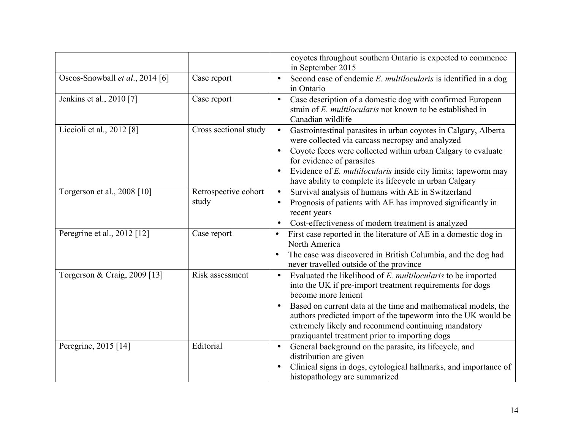|                                 |                               | coyotes throughout southern Ontario is expected to commence<br>in September 2015                                                                                                                                                                                                                                                                                                                                       |
|---------------------------------|-------------------------------|------------------------------------------------------------------------------------------------------------------------------------------------------------------------------------------------------------------------------------------------------------------------------------------------------------------------------------------------------------------------------------------------------------------------|
| Oscos-Snowball et al., 2014 [6] | Case report                   | Second case of endemic E. multilocularis is identified in a dog<br>$\bullet$<br>in Ontario                                                                                                                                                                                                                                                                                                                             |
| Jenkins et al., 2010 [7]        | Case report                   | Case description of a domestic dog with confirmed European<br>$\bullet$<br>strain of E. multilocularis not known to be established in<br>Canadian wildlife                                                                                                                                                                                                                                                             |
| Liccioli et al., 2012 [8]       | Cross sectional study         | Gastrointestinal parasites in urban coyotes in Calgary, Alberta<br>$\bullet$<br>were collected via carcass necropsy and analyzed<br>Coyote feces were collected within urban Calgary to evaluate<br>$\bullet$<br>for evidence of parasites<br>Evidence of E. multilocularis inside city limits; tapeworm may<br>$\bullet$<br>have ability to complete its lifecycle in urban Calgary                                   |
| Torgerson et al., 2008 [10]     | Retrospective cohort<br>study | Survival analysis of humans with AE in Switzerland<br>$\bullet$<br>Prognosis of patients with AE has improved significantly in<br>$\bullet$<br>recent years<br>Cost-effectiveness of modern treatment is analyzed<br>$\bullet$                                                                                                                                                                                         |
| Peregrine et al., 2012 [12]     | Case report                   | First case reported in the literature of AE in a domestic dog in<br>$\bullet$<br>North America<br>The case was discovered in British Columbia, and the dog had<br>never travelled outside of the province                                                                                                                                                                                                              |
| Torgerson & Craig, 2009 [13]    | Risk assessment               | Evaluated the likelihood of E. multilocularis to be imported<br>$\bullet$<br>into the UK if pre-import treatment requirements for dogs<br>become more lenient<br>Based on current data at the time and mathematical models, the<br>$\bullet$<br>authors predicted import of the tapeworm into the UK would be<br>extremely likely and recommend continuing mandatory<br>praziquantel treatment prior to importing dogs |
| Peregrine, 2015 [14]            | Editorial                     | General background on the parasite, its lifecycle, and<br>$\bullet$<br>distribution are given<br>Clinical signs in dogs, cytological hallmarks, and importance of<br>$\bullet$<br>histopathology are summarized                                                                                                                                                                                                        |